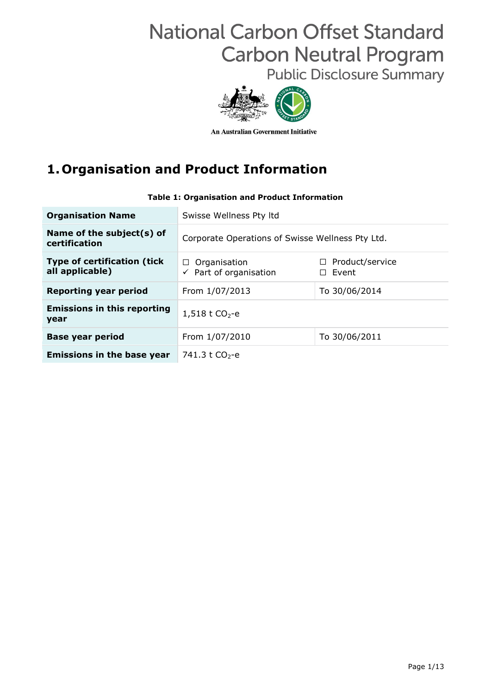# **National Carbon Offset Standard Carbon Neutral Program**

**Public Disclosure Summary** 



An Australian Government Initiative

## **1.Organisation and Product Information**

| <b>Organisation Name</b>                               | Swisse Wellness Pty Itd                                     |                                        |  |  |
|--------------------------------------------------------|-------------------------------------------------------------|----------------------------------------|--|--|
| Name of the subject(s) of<br>certification             | Corporate Operations of Swisse Wellness Pty Ltd.            |                                        |  |  |
| <b>Type of certification (tick)</b><br>all applicable) | Organisation<br>$\Box$<br>$\checkmark$ Part of organisation | $\Box$ Product/service<br>$\Box$ Event |  |  |
| <b>Reporting year period</b>                           | From 1/07/2013                                              | To 30/06/2014                          |  |  |
| <b>Emissions in this reporting</b><br>year             | 1,518 t $CO2 - e$                                           |                                        |  |  |
| <b>Base year period</b>                                | From 1/07/2010                                              | To 30/06/2011                          |  |  |
| <b>Emissions in the base year</b>                      | 741.3 t $CO2 - e$                                           |                                        |  |  |

#### **Table 1: Organisation and Product Information**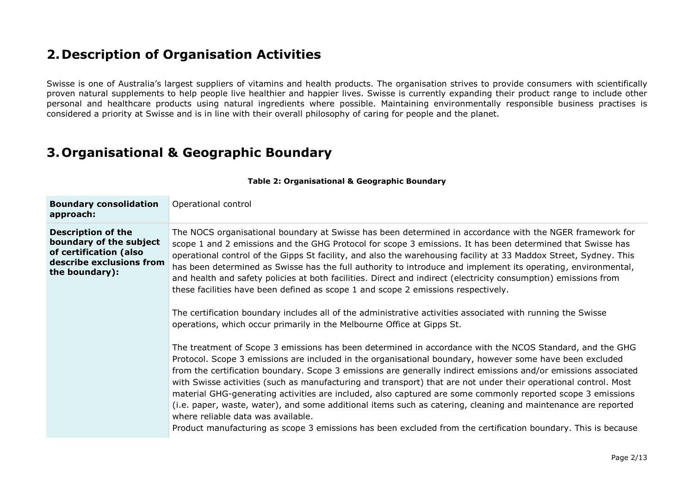#### **2.Description of Organisation Activities**

Swisse is one of Australia's largest suppliers of vitamins and health products. The organisation strives to provide consumers with scientifically proven natural supplements to help people live healthier and happier lives. Swisse is currently expanding their product range to include other personal and healthcare products using natural ingredients where possible. Maintaining environmentally responsible business practises is considered a priority at Swisse and is in line with their overall philosophy of caring for people and the planet.

#### **3.Organisational & Geographic Boundary**

| <b>Boundary consolidation</b><br>approach:                                                                                   | Operational control                                                                                                                                                                                                                                                                                                                                                                                                                                                                                                                                                                                                                                                                                                                                                                                                                                           |
|------------------------------------------------------------------------------------------------------------------------------|---------------------------------------------------------------------------------------------------------------------------------------------------------------------------------------------------------------------------------------------------------------------------------------------------------------------------------------------------------------------------------------------------------------------------------------------------------------------------------------------------------------------------------------------------------------------------------------------------------------------------------------------------------------------------------------------------------------------------------------------------------------------------------------------------------------------------------------------------------------|
| <b>Description of the</b><br>boundary of the subject<br>of certification (also<br>describe exclusions from<br>the boundary): | The NOCS organisational boundary at Swisse has been determined in accordance with the NGER framework for<br>scope 1 and 2 emissions and the GHG Protocol for scope 3 emissions. It has been determined that Swisse has<br>operational control of the Gipps St facility, and also the warehousing facility at 33 Maddox Street, Sydney. This<br>has been determined as Swisse has the full authority to introduce and implement its operating, environmental,<br>and health and safety policies at both facilities. Direct and indirect (electricity consumption) emissions from<br>these facilities have been defined as scope 1 and scope 2 emissions respectively.<br>The certification boundary includes all of the administrative activities associated with running the Swisse<br>operations, which occur primarily in the Melbourne Office at Gipps St. |
|                                                                                                                              | The treatment of Scope 3 emissions has been determined in accordance with the NCOS Standard, and the GHG<br>Protocol. Scope 3 emissions are included in the organisational boundary, however some have been excluded<br>from the certification boundary. Scope 3 emissions are generally indirect emissions and/or emissions associated<br>with Swisse activities (such as manufacturing and transport) that are not under their operational control. Most<br>material GHG-generating activities are included, also captured are some commonly reported scope 3 emissions<br>(i.e. paper, waste, water), and some additional items such as catering, cleaning and maintenance are reported<br>where reliable data was available.<br>Product manufacturing as scope 3 emissions has been excluded from the certification boundary. This is because             |

**Table 2: Organisational & Geographic Boundary**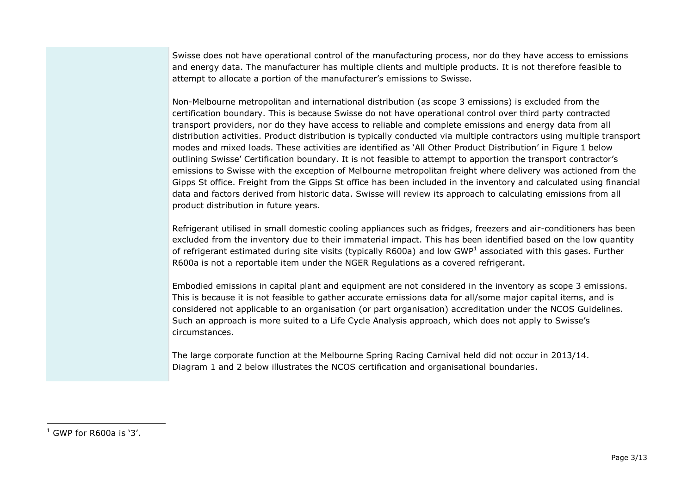Swisse does not have operational control of the manufacturing process, nor do they have access to emissions and energy data. The manufacturer has multiple clients and multiple products. It is not therefore feasible to attempt to allocate a portion of the manufacturer's emissions to Swisse.

Non-Melbourne metropolitan and international distribution (as scope 3 emissions) is excluded from the certification boundary. This is because Swisse do not have operational control over third party contracted transport providers, nor do they have access to reliable and complete emissions and energy data from all distribution activities. Product distribution is typically conducted via multiple contractors using multiple transport modes and mixed loads. These activities are identified as 'All Other Product Distribution' in Figure 1 below outlining Swisse' Certification boundary. It is not feasible to attempt to apportion the transport contractor's emissions to Swisse with the exception of Melbourne metropolitan freight where delivery was actioned from the Gipps St office. Freight from the Gipps St office has been included in the inventory and calculated using financial data and factors derived from historic data. Swisse will review its approach to calculating emissions from all product distribution in future years.

Refrigerant utilised in small domestic cooling appliances such as fridges, freezers and air-conditioners has been excluded from the inventory due to their immaterial impact. This has been identified based on the low quantity of refrigerant estimated during site visits (typically R600a) and low GWP<sup>1</sup> associated with this gases. Further R600a is not a reportable item under the NGER Regulations as a covered refrigerant.

Embodied emissions in capital plant and equipment are not considered in the inventory as scope 3 emissions. This is because it is not feasible to gather accurate emissions data for all/some major capital items, and is considered not applicable to an organisation (or part organisation) accreditation under the NCOS Guidelines. Such an approach is more suited to a Life Cycle Analysis approach, which does not apply to Swisse's circumstances.

The large corporate function at the Melbourne Spring Racing Carnival held did not occur in 2013/14. Diagram 1 and 2 below illustrates the NCOS certification and organisational boundaries.

-

 $1$  GWP for R600a is '3'.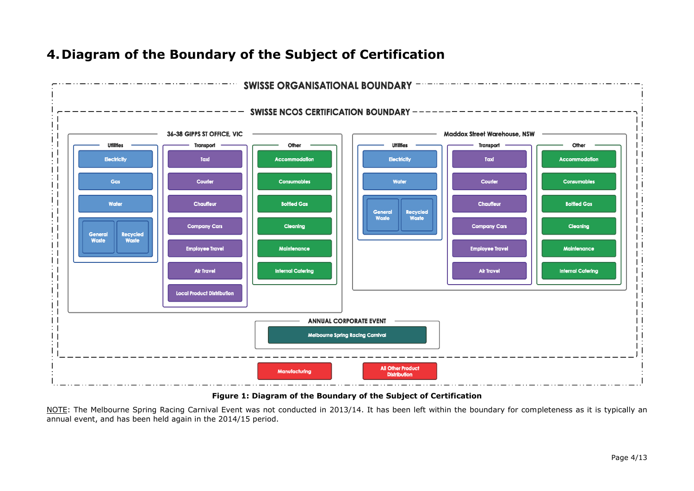

#### **4.Diagram of the Boundary of the Subject of Certification**

**Figure 1: Diagram of the Boundary of the Subject of Certification**

NOTE: The Melbourne Spring Racing Carnival Event was not conducted in 2013/14. It has been left within the boundary for completeness as it is typically an annual event, and has been held again in the 2014/15 period.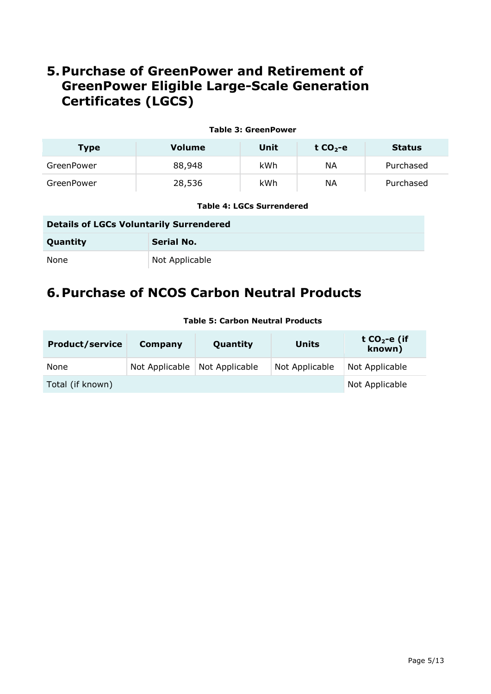### **5.Purchase of GreenPower and Retirement of GreenPower Eligible Large-Scale Generation Certificates (LGCS)**

#### **Table 3: GreenPower**

| <b>Type</b> | <b>Volume</b> | Unit | t $CO2 - e$ | <b>Status</b> |
|-------------|---------------|------|-------------|---------------|
| GreenPower  | 88,948        | kWh  | NА          | Purchased     |
| GreenPower  | 28,536        | kWh  | ΝA          | Purchased     |

#### **Table 4: LGCs Surrendered**

### **Details of LGCs Voluntarily Surrendered Quantity Serial No.** None Not Applicable

### **6.Purchase of NCOS Carbon Neutral Products**

| <b>Product/service</b> | Units<br>Quantity<br>Company |                |                | t $CO2$ -e (if<br>known) |
|------------------------|------------------------------|----------------|----------------|--------------------------|
| None                   | Not Applicable               | Not Applicable | Not Applicable | Not Applicable           |
| Total (if known)       |                              |                |                | Not Applicable           |

#### **Table 5: Carbon Neutral Products**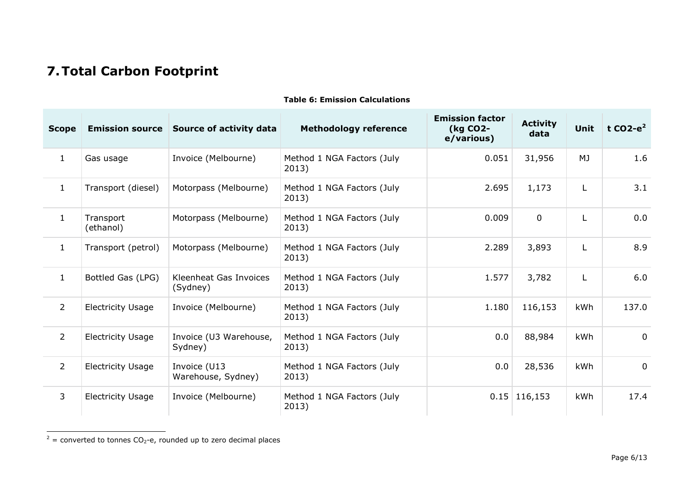## **7.Total Carbon Footprint**

| <b>Scope</b>   | <b>Emission source</b>   | <b>Source of activity data</b>     | <b>Methodology reference</b>        | <b>Emission factor</b><br>(kg CO2-<br>e/various) | <b>Activity</b><br>data | <b>Unit</b> | t CO2- $e^2$ |
|----------------|--------------------------|------------------------------------|-------------------------------------|--------------------------------------------------|-------------------------|-------------|--------------|
| $\mathbf{1}$   | Gas usage                | Invoice (Melbourne)                | Method 1 NGA Factors (July<br>2013) | 0.051                                            | 31,956                  | MJ          | 1.6          |
| $\mathbf{1}$   | Transport (diesel)       | Motorpass (Melbourne)              | Method 1 NGA Factors (July<br>2013) | 2.695                                            | 1,173                   | L           | 3.1          |
| $\mathbf{1}$   | Transport<br>(ethanol)   | Motorpass (Melbourne)              | Method 1 NGA Factors (July<br>2013) | 0.009                                            | $\mathbf 0$             |             | 0.0          |
| $\mathbf{1}$   | Transport (petrol)       | Motorpass (Melbourne)              | Method 1 NGA Factors (July<br>2013) | 2.289                                            | 3,893                   | L           | 8.9          |
| $\mathbf{1}$   | Bottled Gas (LPG)        | Kleenheat Gas Invoices<br>(Sydney) | Method 1 NGA Factors (July<br>2013) | 1.577                                            | 3,782                   | L           | 6.0          |
| $\overline{2}$ | <b>Electricity Usage</b> | Invoice (Melbourne)                | Method 1 NGA Factors (July<br>2013) | 1.180                                            | 116,153                 | kWh         | 137.0        |
| $\overline{2}$ | <b>Electricity Usage</b> | Invoice (U3 Warehouse,<br>Sydney)  | Method 1 NGA Factors (July<br>2013) | 0.0                                              | 88,984                  | kWh         | $\mathbf 0$  |
| $\overline{2}$ | <b>Electricity Usage</b> | Invoice (U13<br>Warehouse, Sydney) | Method 1 NGA Factors (July<br>2013) | 0.0                                              | 28,536                  | kWh         | $\mathbf 0$  |
| 3              | <b>Electricity Usage</b> | Invoice (Melbourne)                | Method 1 NGA Factors (July<br>2013) |                                                  | $0.15$ 116,153          | kWh         | 17.4         |

#### **Table 6: Emission Calculations**

 $2^2$  = converted to tonnes CO<sub>2</sub>-e, rounded up to zero decimal places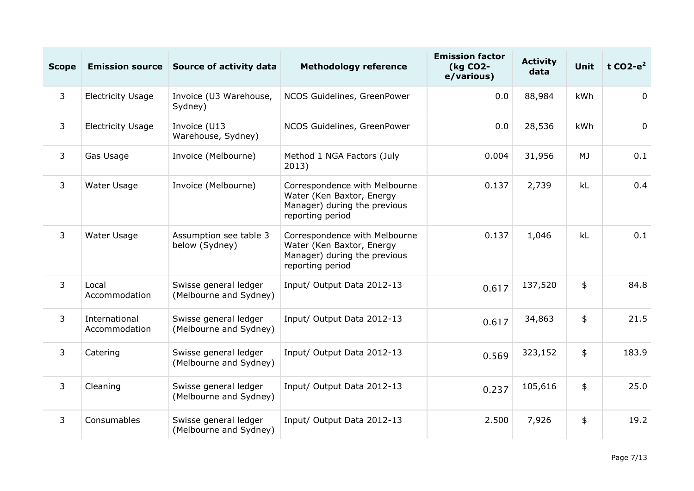| <b>Scope</b> | <b>Emission source</b>         | Source of activity data                         | <b>Methodology reference</b>                                                                                   | <b>Emission factor</b><br>(kg CO2-<br>e/various) | <b>Activity</b><br>data | <b>Unit</b> | t CO2- $e^2$   |
|--------------|--------------------------------|-------------------------------------------------|----------------------------------------------------------------------------------------------------------------|--------------------------------------------------|-------------------------|-------------|----------------|
| $\mathbf{3}$ | <b>Electricity Usage</b>       | Invoice (U3 Warehouse,<br>Sydney)               | NCOS Guidelines, GreenPower                                                                                    | 0.0                                              | 88,984                  | kWh         | $\overline{0}$ |
| 3            | <b>Electricity Usage</b>       | Invoice (U13<br>Warehouse, Sydney)              | NCOS Guidelines, GreenPower                                                                                    | 0.0                                              | 28,536                  | kWh         | $\overline{0}$ |
| 3            | Gas Usage                      | Invoice (Melbourne)                             | Method 1 NGA Factors (July<br>2013)                                                                            | 0.004                                            | 31,956                  | MJ          | 0.1            |
| 3            | Water Usage                    | Invoice (Melbourne)                             | Correspondence with Melbourne<br>Water (Ken Baxtor, Energy<br>Manager) during the previous<br>reporting period | 0.137                                            | 2,739                   | kL          | 0.4            |
| 3            | Water Usage                    | Assumption see table 3<br>below (Sydney)        | Correspondence with Melbourne<br>Water (Ken Baxtor, Energy<br>Manager) during the previous<br>reporting period | 0.137                                            | 1,046                   | kL          | 0.1            |
| $\mathbf{3}$ | Local<br>Accommodation         | Swisse general ledger<br>(Melbourne and Sydney) | Input/ Output Data 2012-13                                                                                     | 0.617                                            | 137,520                 | \$          | 84.8           |
| 3            | International<br>Accommodation | Swisse general ledger<br>(Melbourne and Sydney) | Input/ Output Data 2012-13                                                                                     | 0.617                                            | 34,863                  | \$          | 21.5           |
| 3            | Catering                       | Swisse general ledger<br>(Melbourne and Sydney) | Input/ Output Data 2012-13                                                                                     | 0.569                                            | 323,152                 | \$          | 183.9          |
| 3            | Cleaning                       | Swisse general ledger<br>(Melbourne and Sydney) | Input/ Output Data 2012-13                                                                                     | 0.237                                            | 105,616                 | \$          | 25.0           |
| 3            | Consumables                    | Swisse general ledger<br>(Melbourne and Sydney) | Input/ Output Data 2012-13                                                                                     | 2.500                                            | 7,926                   | \$          | 19.2           |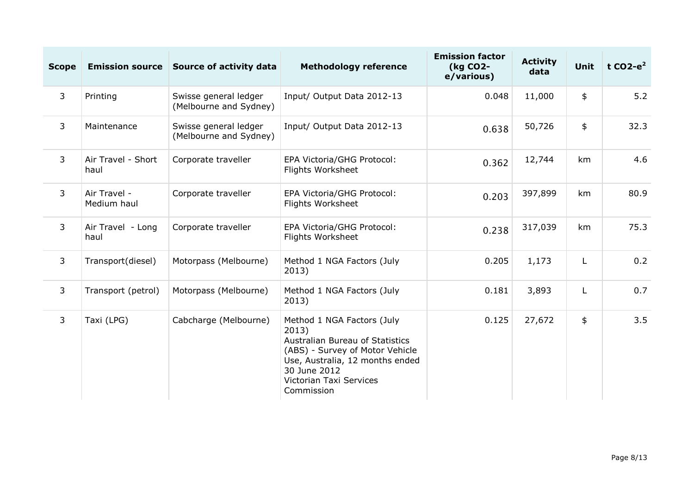| <b>Scope</b> | <b>Emission source</b>      | <b>Source of activity data</b>                  | <b>Methodology reference</b>                                                                                                                                                                          | <b>Emission factor</b><br>(kg CO2-<br>e/various) | <b>Activity</b><br>data | <b>Unit</b> | t CO2- $e^2$ |
|--------------|-----------------------------|-------------------------------------------------|-------------------------------------------------------------------------------------------------------------------------------------------------------------------------------------------------------|--------------------------------------------------|-------------------------|-------------|--------------|
| 3            | Printing                    | Swisse general ledger<br>(Melbourne and Sydney) | Input/ Output Data 2012-13                                                                                                                                                                            | 0.048                                            | 11,000                  | \$          | 5.2          |
| 3            | Maintenance                 | Swisse general ledger<br>(Melbourne and Sydney) | Input/ Output Data 2012-13                                                                                                                                                                            | 0.638                                            | 50,726                  | \$          | 32.3         |
| 3            | Air Travel - Short<br>haul  | Corporate traveller                             | EPA Victoria/GHG Protocol:<br>Flights Worksheet                                                                                                                                                       | 0.362                                            | 12,744                  | km          | 4.6          |
| 3            | Air Travel -<br>Medium haul | Corporate traveller                             | EPA Victoria/GHG Protocol:<br>Flights Worksheet                                                                                                                                                       | 0.203                                            | 397,899                 | km          | 80.9         |
| 3            | Air Travel - Long<br>haul   | Corporate traveller                             | EPA Victoria/GHG Protocol:<br>Flights Worksheet                                                                                                                                                       | 0.238                                            | 317,039                 | km          | 75.3         |
| 3            | Transport(diesel)           | Motorpass (Melbourne)                           | Method 1 NGA Factors (July<br>2013)                                                                                                                                                                   | 0.205                                            | 1,173                   | L           | 0.2          |
| 3            | Transport (petrol)          | Motorpass (Melbourne)                           | Method 1 NGA Factors (July<br>2013)                                                                                                                                                                   | 0.181                                            | 3,893                   | L           | 0.7          |
| 3            | Taxi (LPG)                  | Cabcharge (Melbourne)                           | Method 1 NGA Factors (July<br>2013)<br>Australian Bureau of Statistics<br>(ABS) - Survey of Motor Vehicle<br>Use, Australia, 12 months ended<br>30 June 2012<br>Victorian Taxi Services<br>Commission | 0.125                                            | 27,672                  | \$          | 3.5          |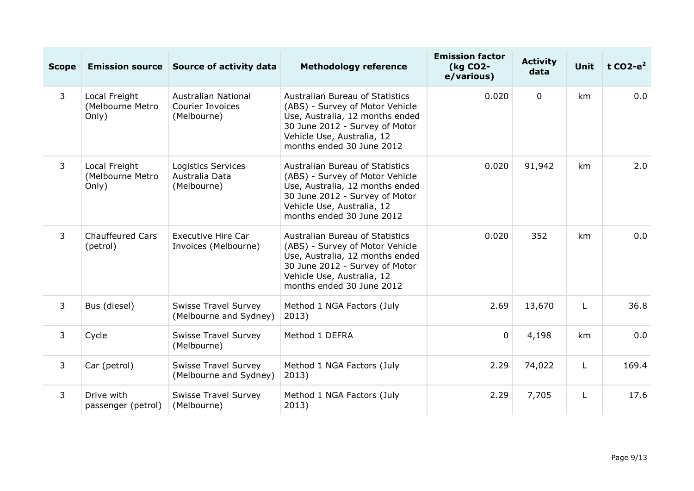| <b>Scope</b>   |                                            | Emission source Source of activity data                       | <b>Methodology reference</b>                                                                                                                                                                                       | <b>Emission factor</b><br>(kg CO2-<br>e/various) | <b>Activity</b><br>data | <b>Unit</b> | t CO2- $e^2$ |
|----------------|--------------------------------------------|---------------------------------------------------------------|--------------------------------------------------------------------------------------------------------------------------------------------------------------------------------------------------------------------|--------------------------------------------------|-------------------------|-------------|--------------|
| $\mathsf{3}$   | Local Freight<br>(Melbourne Metro<br>Only) | <b>Australian National</b><br>Courier Invoices<br>(Melbourne) | Australian Bureau of Statistics<br>(ABS) - Survey of Motor Vehicle<br>Use, Australia, 12 months ended<br>30 June 2012 - Survey of Motor<br>Vehicle Use, Australia, 12<br>months ended 30 June 2012                 | 0.020                                            | $\overline{0}$          | km          | 0.0          |
| $\overline{3}$ | Local Freight<br>(Melbourne Metro<br>Only) | <b>Logistics Services</b><br>Australia Data<br>(Melbourne)    | 0.020<br><b>Australian Bureau of Statistics</b><br>(ABS) - Survey of Motor Vehicle<br>Use, Australia, 12 months ended<br>30 June 2012 - Survey of Motor<br>Vehicle Use, Australia, 12<br>months ended 30 June 2012 |                                                  | 91,942                  | km          | 2.0          |
| $\overline{3}$ | <b>Chauffeured Cars</b><br>(petrol)        | <b>Executive Hire Car</b><br>Invoices (Melbourne)             | Australian Bureau of Statistics<br>(ABS) - Survey of Motor Vehicle<br>Use, Australia, 12 months ended<br>30 June 2012 - Survey of Motor<br>Vehicle Use, Australia, 12<br>months ended 30 June 2012                 | 0.020                                            | 352                     | km          | 0.0          |
| $\overline{3}$ | Bus (diesel)                               | <b>Swisse Travel Survey</b><br>(Melbourne and Sydney)         | Method 1 NGA Factors (July<br>2013)                                                                                                                                                                                | 2.69                                             | 13,670                  | L           | 36.8         |
| $\overline{3}$ | Cycle                                      | <b>Swisse Travel Survey</b><br>(Melbourne)                    | Method 1 DEFRA                                                                                                                                                                                                     | $\Omega$                                         | 4,198                   | km          | 0.0          |
| $\overline{3}$ | Car (petrol)                               | <b>Swisse Travel Survey</b><br>(Melbourne and Sydney)         | Method 1 NGA Factors (July<br>2013)                                                                                                                                                                                | 2.29                                             | 74,022                  | L           | 169.4        |
| $\overline{3}$ | Drive with<br>passenger (petrol)           | <b>Swisse Travel Survey</b><br>(Melbourne)                    | Method 1 NGA Factors (July<br>2013)                                                                                                                                                                                | 2.29                                             | 7,705                   | L           | 17.6         |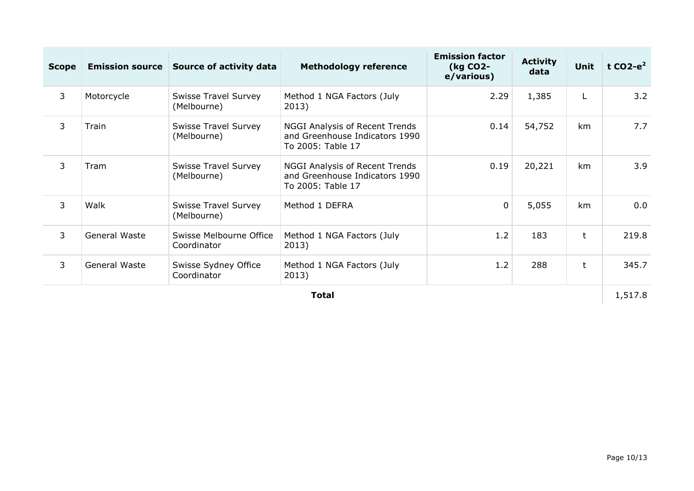| <b>Scope</b>   |               | <b>Emission source Source of activity data</b> | <b>Methodology reference</b>                                                          | <b>Emission factor</b><br>(kg CO2-<br>e/various) | <b>Activity</b><br>data | <b>Unit</b>  | t CO2- $e^2$ |
|----------------|---------------|------------------------------------------------|---------------------------------------------------------------------------------------|--------------------------------------------------|-------------------------|--------------|--------------|
| 3              | Motorcycle    | <b>Swisse Travel Survey</b><br>(Melbourne)     | Method 1 NGA Factors (July<br>2013)                                                   | 2.29                                             | 1,385                   | L            | 3.2          |
| 3              | Train         | <b>Swisse Travel Survey</b><br>(Melbourne)     | NGGI Analysis of Recent Trends<br>and Greenhouse Indicators 1990<br>To 2005: Table 17 | 0.14                                             | 54,752                  | km           | 7.7          |
| 3              | Tram          | <b>Swisse Travel Survey</b><br>(Melbourne)     | NGGI Analysis of Recent Trends<br>and Greenhouse Indicators 1990<br>To 2005: Table 17 | 0.19                                             | 20,221                  | km           | 3.9          |
| $\overline{3}$ | Walk          | <b>Swisse Travel Survey</b><br>(Melbourne)     | Method 1 DEFRA                                                                        | $\mathbf 0$                                      | 5,055                   | km           | 0.0          |
| 3              | General Waste | Swisse Melbourne Office<br>Coordinator         | Method 1 NGA Factors (July<br>2013)                                                   | 1.2                                              | 183                     | t            | 219.8        |
| 3              | General Waste | Swisse Sydney Office<br>Coordinator            | Method 1 NGA Factors (July<br>2013)                                                   | 1.2                                              | 288                     | $\mathsf{t}$ | 345.7        |
|                | <b>Total</b>  |                                                |                                                                                       |                                                  |                         |              | 1,517.8      |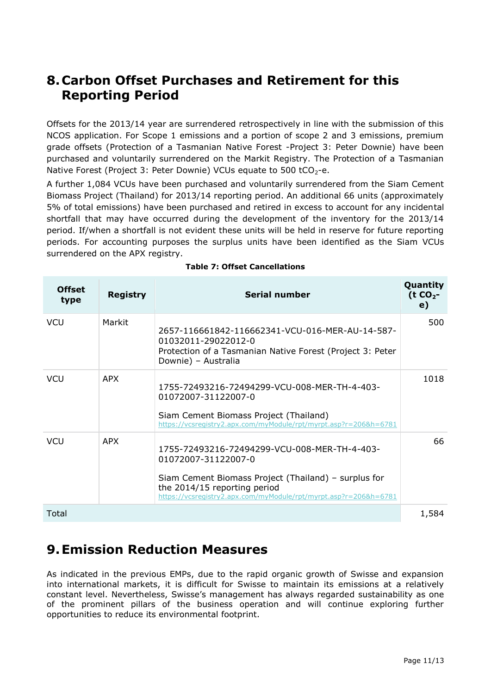#### **8.Carbon Offset Purchases and Retirement for this Reporting Period**

Offsets for the 2013/14 year are surrendered retrospectively in line with the submission of this NCOS application. For Scope 1 emissions and a portion of scope 2 and 3 emissions, premium grade offsets (Protection of a Tasmanian Native Forest -Project 3: Peter Downie) have been purchased and voluntarily surrendered on the Markit Registry. The Protection of a Tasmanian Native Forest (Project 3: Peter Downie) VCUs equate to 500 tCO<sub>2</sub>-e.

A further 1,084 VCUs have been purchased and voluntarily surrendered from the Siam Cement Biomass Project (Thailand) for 2013/14 reporting period. An additional 66 units (approximately 5% of total emissions) have been purchased and retired in excess to account for any incidental shortfall that may have occurred during the development of the inventory for the 2013/14 period. If/when a shortfall is not evident these units will be held in reserve for future reporting periods. For accounting purposes the surplus units have been identified as the Siam VCUs surrendered on the APX registry.

| <b>Offset</b><br>type | <b>Registry</b> | <b>Serial number</b>                                                                                                                                                                                                            | Quantity<br>$(t CO2 -$<br>$\mathbf{e}$ |
|-----------------------|-----------------|---------------------------------------------------------------------------------------------------------------------------------------------------------------------------------------------------------------------------------|----------------------------------------|
| <b>VCU</b>            | Markit          | 2657-116661842-116662341-VCU-016-MER-AU-14-587-<br>01032011-29022012-0<br>Protection of a Tasmanian Native Forest (Project 3: Peter<br>Downie) - Australia                                                                      | 500                                    |
| <b>VCU</b>            | APX             | 1755-72493216-72494299-VCU-008-MER-TH-4-403-<br>01072007-31122007-0<br>Siam Cement Biomass Project (Thailand)<br>https://vcsregistry2.apx.com/myModule/rpt/myrpt.asp?r=206&h=6781                                               | 1018                                   |
| <b>VCU</b>            | <b>APX</b>      | 1755-72493216-72494299-VCU-008-MER-TH-4-403-<br>01072007-31122007-0<br>Siam Cement Biomass Project (Thailand) – surplus for<br>the 2014/15 reporting period<br>https://vcsreqistry2.apx.com/myModule/rpt/myrpt.asp?r=206&h=6781 | 66                                     |
| Total                 |                 |                                                                                                                                                                                                                                 | 1,584                                  |

|  | <b>Table 7: Offset Cancellations</b> |
|--|--------------------------------------|
|  |                                      |

### **9.Emission Reduction Measures**

As indicated in the previous EMPs, due to the rapid organic growth of Swisse and expansion into international markets, it is difficult for Swisse to maintain its emissions at a relatively constant level. Nevertheless, Swisse's management has always regarded sustainability as one of the prominent pillars of the business operation and will continue exploring further opportunities to reduce its environmental footprint.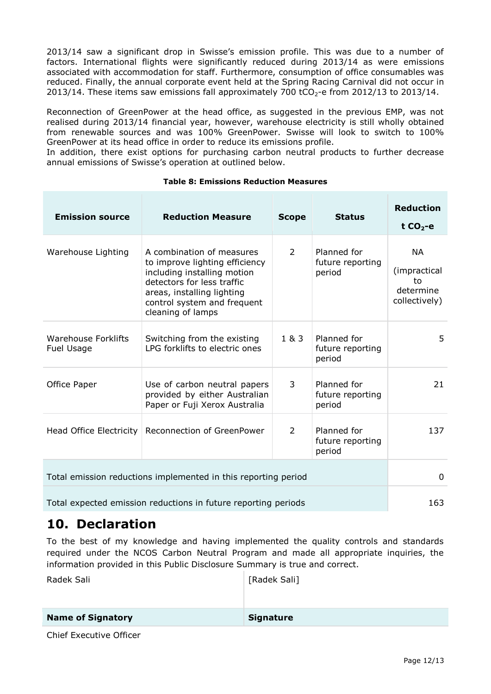2013/14 saw a significant drop in Swisse's emission profile. This was due to a number of factors. International flights were significantly reduced during 2013/14 as were emissions associated with accommodation for staff. Furthermore, consumption of office consumables was reduced. Finally, the annual corporate event held at the Spring Racing Carnival did not occur in 2013/14. These items saw emissions fall approximately 700 tCO<sub>2</sub>-e from 2012/13 to 2013/14.

Reconnection of GreenPower at the head office, as suggested in the previous EMP, was not realised during 2013/14 financial year, however, warehouse electricity is still wholly obtained from renewable sources and was 100% GreenPower. Swisse will look to switch to 100% GreenPower at its head office in order to reduce its emissions profile.

In addition, there exist options for purchasing carbon neutral products to further decrease annual emissions of Swisse's operation at outlined below.

| <b>Emission source</b>                                         | <b>Reduction Measure</b>                                                                                                                                                                                   | <b>Scope</b> | <b>Status</b>                             | <b>Reduction</b><br>t $CO2$ -e                         |  |
|----------------------------------------------------------------|------------------------------------------------------------------------------------------------------------------------------------------------------------------------------------------------------------|--------------|-------------------------------------------|--------------------------------------------------------|--|
| Warehouse Lighting                                             | A combination of measures<br>to improve lighting efficiency<br>including installing motion<br>detectors for less traffic<br>areas, installing lighting<br>control system and frequent<br>cleaning of lamps | 2            | Planned for<br>future reporting<br>period | NA<br>(impractical<br>to<br>determine<br>collectively) |  |
| <b>Warehouse Forklifts</b><br>Fuel Usage                       | Switching from the existing<br>LPG forklifts to electric ones                                                                                                                                              | 1 & 3        | Planned for<br>future reporting<br>period | 5.                                                     |  |
| Office Paper                                                   | Use of carbon neutral papers<br>provided by either Australian<br>Paper or Fuji Xerox Australia                                                                                                             | 3            | Planned for<br>future reporting<br>period | 21                                                     |  |
| Head Office Electricity                                        | Reconnection of GreenPower                                                                                                                                                                                 | 2            | Planned for<br>future reporting<br>period | 137                                                    |  |
| Total emission reductions implemented in this reporting period | 0                                                                                                                                                                                                          |              |                                           |                                                        |  |
| Total expected emission reductions in future reporting periods |                                                                                                                                                                                                            |              |                                           |                                                        |  |

#### **Table 8: Emissions Reduction Measures**

### **10. Declaration**

To the best of my knowledge and having implemented the quality controls and standards required under the NCOS Carbon Neutral Program and made all appropriate inquiries, the information provided in this Public Disclosure Summary is true and correct.

| Radek Sali               | [Radek Sali]     |
|--------------------------|------------------|
| <b>Name of Signatory</b> | <b>Signature</b> |

Chief Executive Officer